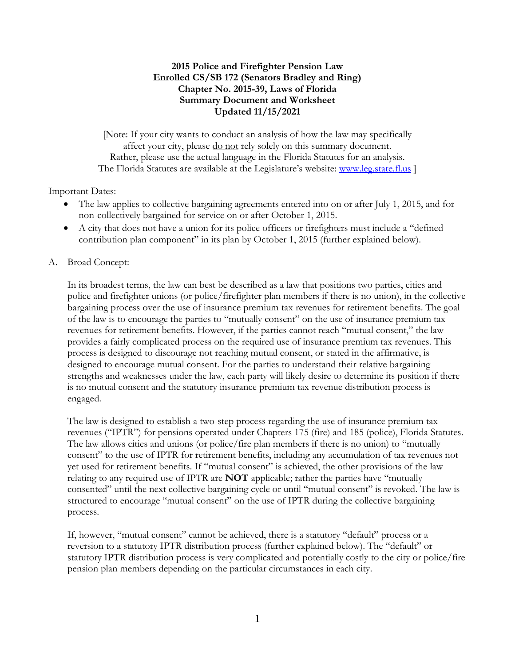## **2015 Police and Firefighter Pension Law Enrolled CS/SB 172 (Senators Bradley and Ring) Chapter No. 2015-39, Laws of Florida Summary Document and Worksheet Updated 11/15/2021**

[Note: If your city wants to conduct an analysis of how the law may specifically affect your city, please <u>do not</u> rely solely on this summary document. Rather, please use the actual language in the Florida Statutes for an analysis. The Florida Statutes are available at the Legislature's website: [www.leg.state.fl.us](http://www.leg.state.fl.us/) ]

Important Dates:

- The law applies to collective bargaining agreements entered into on or after July 1, 2015, and for non-collectively bargained for service on or after October 1, 2015.
- A city that does not have a union for its police officers or firefighters must include a "defined contribution plan component" in its plan by October 1, 2015 (further explained below).
- A. Broad Concept:

In its broadest terms, the law can best be described as a law that positions two parties, cities and police and firefighter unions (or police/firefighter plan members if there is no union), in the collective bargaining process over the use of insurance premium tax revenues for retirement benefits. The goal of the law is to encourage the parties to "mutually consent" on the use of insurance premium tax revenues for retirement benefits. However, if the parties cannot reach "mutual consent," the law provides a fairly complicated process on the required use of insurance premium tax revenues. This process is designed to discourage not reaching mutual consent, or stated in the affirmative, is designed to encourage mutual consent. For the parties to understand their relative bargaining strengths and weaknesses under the law, each party will likely desire to determine its position if there is no mutual consent and the statutory insurance premium tax revenue distribution process is engaged.

The law is designed to establish a two-step process regarding the use of insurance premium tax revenues ("IPTR") for pensions operated under Chapters 175 (fire) and 185 (police), Florida Statutes. The law allows cities and unions (or police/fire plan members if there is no union) to "mutually consent" to the use of IPTR for retirement benefits, including any accumulation of tax revenues not yet used for retirement benefits. If "mutual consent" is achieved, the other provisions of the law relating to any required use of IPTR are **NOT** applicable; rather the parties have "mutually consented" until the next collective bargaining cycle or until "mutual consent" is revoked. The law is structured to encourage "mutual consent" on the use of IPTR during the collective bargaining process.

If, however, "mutual consent" cannot be achieved, there is a statutory "default" process or a reversion to a statutory IPTR distribution process (further explained below). The "default" or statutory IPTR distribution process is very complicated and potentially costly to the city or police/fire pension plan members depending on the particular circumstances in each city.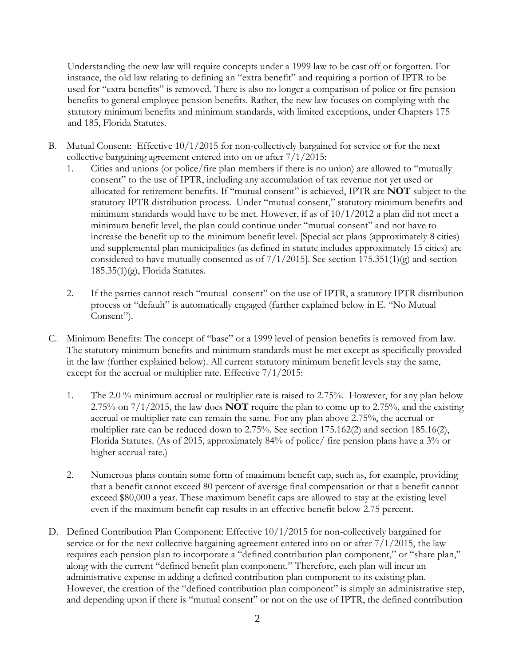Understanding the new law will require concepts under a 1999 law to be cast off or forgotten. For instance, the old law relating to defining an "extra benefit" and requiring a portion of IPTR to be used for "extra benefits" is removed. There is also no longer a comparison of police or fire pension benefits to general employee pension benefits. Rather, the new law focuses on complying with the statutory minimum benefits and minimum standards, with limited exceptions, under Chapters 175 and 185, Florida Statutes.

- B. Mutual Consent: Effective 10/1/2015 for non-collectively bargained for service or for the next collective bargaining agreement entered into on or after 7/1/2015:
	- 1. Cities and unions (or police/fire plan members if there is no union) are allowed to "mutually consent" to the use of IPTR, including any accumulation of tax revenue not yet used or allocated for retirement benefits. If "mutual consent" is achieved, IPTR are **NOT** subject to the statutory IPTR distribution process. Under "mutual consent," statutory minimum benefits and minimum standards would have to be met. However, if as of 10/1/2012 a plan did not meet a minimum benefit level, the plan could continue under "mutual consent" and not have to increase the benefit up to the minimum benefit level. [Special act plans (approximately 8 cities) and supplemental plan municipalities (as defined in statute includes approximately 15 cities) are considered to have mutually consented as of  $7/1/2015$ . See section  $175.351(1)(g)$  and section  $185.35(1)(g)$ , Florida Statutes.
	- 2. If the parties cannot reach "mutual consent" on the use of IPTR, a statutory IPTR distribution process or "default" is automatically engaged (further explained below in E. "No Mutual Consent").
- C. Minimum Benefits: The concept of "base" or a 1999 level of pension benefits is removed from law. The statutory minimum benefits and minimum standards must be met except as specifically provided in the law (further explained below). All current statutory minimum benefit levels stay the same, except for the accrual or multiplier rate. Effective  $7/1/2015$ :
	- 1. The 2.0 % minimum accrual or multiplier rate is raised to 2.75%. However, for any plan below 2.75% on 7/1/2015, the law does **NOT** require the plan to come up to 2.75%, and the existing accrual or multiplier rate can remain the same. For any plan above 2.75%, the accrual or multiplier rate can be reduced down to 2.75%. See section 175.162(2) and section 185.16(2), Florida Statutes. (As of 2015, approximately 84% of police/ fire pension plans have a 3% or higher accrual rate.)
	- 2. Numerous plans contain some form of maximum benefit cap, such as, for example, providing that a benefit cannot exceed 80 percent of average final compensation or that a benefit cannot exceed \$80,000 a year. These maximum benefit caps are allowed to stay at the existing level even if the maximum benefit cap results in an effective benefit below 2.75 percent.
- D. Defined Contribution Plan Component: Effective 10/1/2015 for non-collectively bargained for service or for the next collective bargaining agreement entered into on or after  $7/1/2015$ , the law requires each pension plan to incorporate a "defined contribution plan component," or "share plan," along with the current "defined benefit plan component." Therefore, each plan will incur an administrative expense in adding a defined contribution plan component to its existing plan. However, the creation of the "defined contribution plan component" is simply an administrative step, and depending upon if there is "mutual consent" or not on the use of IPTR, the defined contribution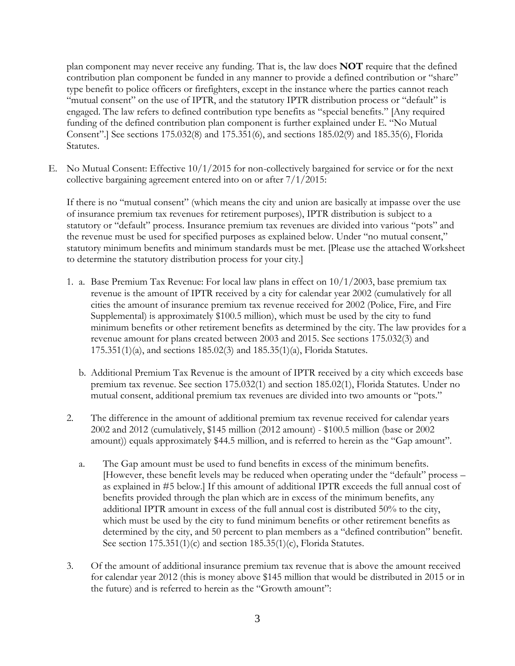plan component may never receive any funding. That is, the law does **NOT** require that the defined contribution plan component be funded in any manner to provide a defined contribution or "share" type benefit to police officers or firefighters, except in the instance where the parties cannot reach "mutual consent" on the use of IPTR, and the statutory IPTR distribution process or "default" is engaged. The law refers to defined contribution type benefits as "special benefits." [Any required funding of the defined contribution plan component is further explained under E. "No Mutual Consent".] See sections 175.032(8) and 175.351(6), and sections 185.02(9) and 185.35(6), Florida Statutes.

E. No Mutual Consent: Effective 10/1/2015 for non-collectively bargained for service or for the next collective bargaining agreement entered into on or after 7/1/2015:

If there is no "mutual consent" (which means the city and union are basically at impasse over the use of insurance premium tax revenues for retirement purposes), IPTR distribution is subject to a statutory or "default" process. Insurance premium tax revenues are divided into various "pots" and the revenue must be used for specified purposes as explained below. Under "no mutual consent," statutory minimum benefits and minimum standards must be met. [Please use the attached Worksheet to determine the statutory distribution process for your city.]

- 1. a. Base Premium Tax Revenue: For local law plans in effect on 10/1/2003, base premium tax revenue is the amount of IPTR received by a city for calendar year 2002 (cumulatively for all cities the amount of insurance premium tax revenue received for 2002 (Police, Fire, and Fire Supplemental) is approximately \$100.5 million), which must be used by the city to fund minimum benefits or other retirement benefits as determined by the city. The law provides for a revenue amount for plans created between 2003 and 2015. See sections 175.032(3) and 175.351(1)(a), and sections 185.02(3) and 185.35(1)(a), Florida Statutes.
	- b. Additional Premium Tax Revenue is the amount of IPTR received by a city which exceeds base premium tax revenue. See section 175.032(1) and section 185.02(1), Florida Statutes. Under no mutual consent, additional premium tax revenues are divided into two amounts or "pots."
- 2. The difference in the amount of additional premium tax revenue received for calendar years 2002 and 2012 (cumulatively, \$145 million (2012 amount) - \$100.5 million (base or 2002 amount)) equals approximately \$44.5 million, and is referred to herein as the "Gap amount".
	- a. The Gap amount must be used to fund benefits in excess of the minimum benefits. [However, these benefit levels may be reduced when operating under the "default" process – as explained in #5 below.] If this amount of additional IPTR exceeds the full annual cost of benefits provided through the plan which are in excess of the minimum benefits, any additional IPTR amount in excess of the full annual cost is distributed 50% to the city, which must be used by the city to fund minimum benefits or other retirement benefits as determined by the city, and 50 percent to plan members as a "defined contribution" benefit. See section 175.351(1)(c) and section 185.35(1)(c), Florida Statutes.
- 3. Of the amount of additional insurance premium tax revenue that is above the amount received for calendar year 2012 (this is money above \$145 million that would be distributed in 2015 or in the future) and is referred to herein as the "Growth amount":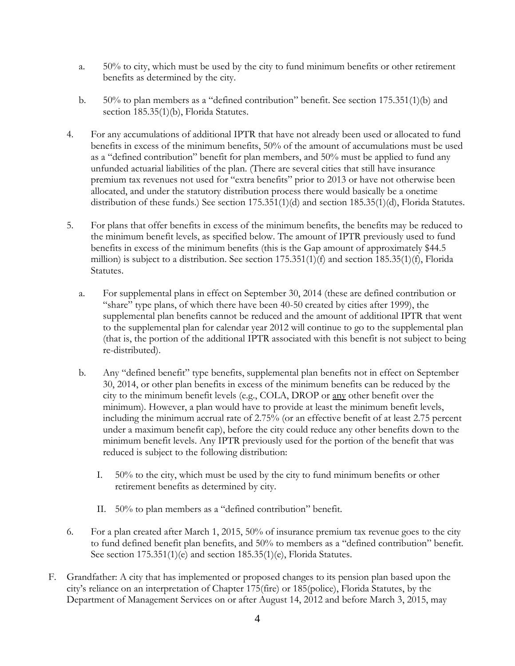- a. 50% to city, which must be used by the city to fund minimum benefits or other retirement benefits as determined by the city.
- b. 50% to plan members as a "defined contribution" benefit. See section 175.351(1)(b) and section 185.35(1)(b), Florida Statutes.
- 4. For any accumulations of additional IPTR that have not already been used or allocated to fund benefits in excess of the minimum benefits, 50% of the amount of accumulations must be used as a "defined contribution" benefit for plan members, and 50% must be applied to fund any unfunded actuarial liabilities of the plan. (There are several cities that still have insurance premium tax revenues not used for "extra benefits" prior to 2013 or have not otherwise been allocated, and under the statutory distribution process there would basically be a onetime distribution of these funds.) See section 175.351(1)(d) and section 185.35(1)(d), Florida Statutes.
- 5. For plans that offer benefits in excess of the minimum benefits, the benefits may be reduced to the minimum benefit levels, as specified below. The amount of IPTR previously used to fund benefits in excess of the minimum benefits (this is the Gap amount of approximately \$44.5 million) is subject to a distribution. See section 175.351(1)(f) and section 185.35(1)(f), Florida Statutes.
	- a. For supplemental plans in effect on September 30, 2014 (these are defined contribution or "share" type plans, of which there have been 40-50 created by cities after 1999), the supplemental plan benefits cannot be reduced and the amount of additional IPTR that went to the supplemental plan for calendar year 2012 will continue to go to the supplemental plan (that is, the portion of the additional IPTR associated with this benefit is not subject to being re-distributed).
	- b. Any "defined benefit" type benefits, supplemental plan benefits not in effect on September 30, 2014, or other plan benefits in excess of the minimum benefits can be reduced by the city to the minimum benefit levels (e.g., COLA, DROP or any other benefit over the minimum). However, a plan would have to provide at least the minimum benefit levels, including the minimum accrual rate of 2.75% (or an effective benefit of at least 2.75 percent under a maximum benefit cap), before the city could reduce any other benefits down to the minimum benefit levels. Any IPTR previously used for the portion of the benefit that was reduced is subject to the following distribution:
		- I. 50% to the city, which must be used by the city to fund minimum benefits or other retirement benefits as determined by city.
		- II. 50% to plan members as a "defined contribution" benefit.
- 6. For a plan created after March 1, 2015, 50% of insurance premium tax revenue goes to the city to fund defined benefit plan benefits, and 50% to members as a "defined contribution" benefit. See section 175.351(1)(e) and section 185.35(1)(e), Florida Statutes.
- F. Grandfather: A city that has implemented or proposed changes to its pension plan based upon the city's reliance on an interpretation of Chapter 175(fire) or 185(police), Florida Statutes, by the Department of Management Services on or after August 14, 2012 and before March 3, 2015, may